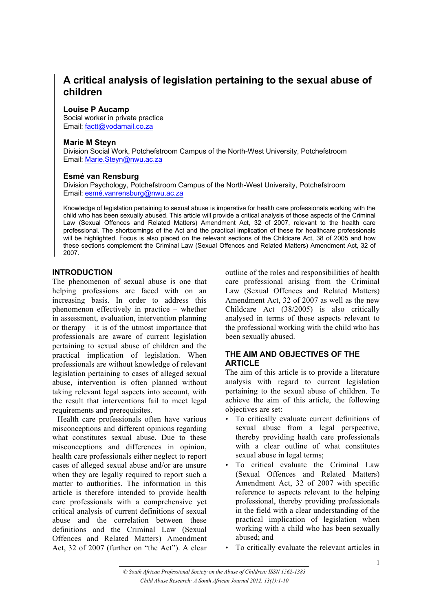# **A critical analysis of legislation pertaining to the sexual abuse of children**

#### **Louise P Aucamp**

Social worker in private practice Email: factt@vodamail.co.za

### **Marie M Steyn**

Division Social Work, Potchefstroom Campus of the North-West University, Potchefstroom Email: Marie.Steyn@nwu.ac.za

### **Esmé van Rensburg**

Division Psychology, Potchefstroom Campus of the North-West University, Potchefstroom Email: esmé.vanrensburg@nwu.ac.za

Knowledge of legislation pertaining to sexual abuse is imperative for health care professionals working with the child who has been sexually abused. This article will provide a critical analysis of those aspects of the Criminal Law (Sexual Offences and Related Matters) Amendment Act, 32 of 2007, relevant to the health care professional. The shortcomings of the Act and the practical implication of these for healthcare professionals will be highlighted. Focus is also placed on the relevant sections of the Childcare Act, 38 of 2005 and how these sections complement the Criminal Law (Sexual Offences and Related Matters) Amendment Act, 32 of 2007.

## **INTRODUCTION**

The phenomenon of sexual abuse is one that helping professions are faced with on an increasing basis. In order to address this phenomenon effectively in practice – whether in assessment, evaluation, intervention planning or therapy – it is of the utmost importance that professionals are aware of current legislation pertaining to sexual abuse of children and the practical implication of legislation. When professionals are without knowledge of relevant legislation pertaining to cases of alleged sexual abuse, intervention is often planned without taking relevant legal aspects into account, with the result that interventions fail to meet legal requirements and prerequisites.

Health care professionals often have various misconceptions and different opinions regarding what constitutes sexual abuse. Due to these misconceptions and differences in opinion, health care professionals either neglect to report cases of alleged sexual abuse and/or are unsure when they are legally required to report such a matter to authorities. The information in this article is therefore intended to provide health care professionals with a comprehensive yet critical analysis of current definitions of sexual abuse and the correlation between these definitions and the Criminal Law (Sexual Offences and Related Matters) Amendment Act, 32 of 2007 (further on "the Act"). A clear

outline of the roles and responsibilities of health care professional arising from the Criminal Law (Sexual Offences and Related Matters) Amendment Act, 32 of 2007 as well as the new Childcare Act (38/2005) is also critically analysed in terms of those aspects relevant to the professional working with the child who has been sexually abused.

## **THE AIM AND OBJECTIVES OF THE ARTICLE**

The aim of this article is to provide a literature analysis with regard to current legislation pertaining to the sexual abuse of children. To achieve the aim of this article, the following objectives are set:

- To critically evaluate current definitions of sexual abuse from a legal perspective, thereby providing health care professionals with a clear outline of what constitutes sexual abuse in legal terms;
- To critical evaluate the Criminal Law (Sexual Offences and Related Matters) Amendment Act, 32 of 2007 with specific reference to aspects relevant to the helping professional, thereby providing professionals in the field with a clear understanding of the practical implication of legislation when working with a child who has been sexually abused; and
- To critically evaluate the relevant articles in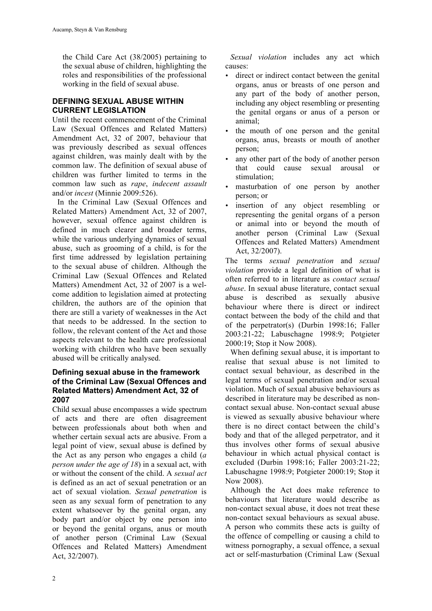the Child Care Act (38/2005) pertaining to the sexual abuse of children, highlighting the roles and responsibilities of the professional working in the field of sexual abuse.

## **DEFINING SEXUAL ABUSE WITHIN CURRENT LEGISLATION**

Until the recent commencement of the Criminal Law (Sexual Offences and Related Matters) Amendment Act, 32 of 2007, behaviour that was previously described as sexual offences against children, was mainly dealt with by the common law. The definition of sexual abuse of children was further limited to terms in the common law such as *rape*, *indecent assault* and/or *incest* (Minnie 2009:526).

In the Criminal Law (Sexual Offences and Related Matters) Amendment Act, 32 of 2007, however, sexual offence against children is defined in much clearer and broader terms, while the various underlying dynamics of sexual abuse, such as grooming of a child, is for the first time addressed by legislation pertaining to the sexual abuse of children. Although the Criminal Law (Sexual Offences and Related Matters) Amendment Act, 32 of 2007 is a welcome addition to legislation aimed at protecting children, the authors are of the opinion that there are still a variety of weaknesses in the Act that needs to be addressed. In the section to follow, the relevant content of the Act and those aspects relevant to the health care professional working with children who have been sexually abused will be critically analysed.

## **Defining sexual abuse in the framework of the Criminal Law (Sexual Offences and Related Matters) Amendment Act, 32 of 2007**

Child sexual abuse encompasses a wide spectrum of acts and there are often disagreement between professionals about both when and whether certain sexual acts are abusive. From a legal point of view, sexual abuse is defined by the Act as any person who engages a child (*a person under the age of 18*) in a sexual act, with or without the consent of the child. A *sexual act* is defined as an act of sexual penetration or an act of sexual violation. *Sexual penetration* is seen as any sexual form of penetration to any extent whatsoever by the genital organ, any body part and/or object by one person into or beyond the genital organs, anus or mouth of another person (Criminal Law (Sexual Offences and Related Matters) Amendment Act, 32/2007).

*Sexual violation* includes any act which causes:

- direct or indirect contact between the genital organs, anus or breasts of one person and any part of the body of another person, including any object resembling or presenting the genital organs or anus of a person or animal;
- the mouth of one person and the genital organs, anus, breasts or mouth of another person;
- any other part of the body of another person that could cause sexual arousal or stimulation;
- masturbation of one person by another person; or
- insertion of any object resembling or representing the genital organs of a person or animal into or beyond the mouth of another person (Criminal Law (Sexual Offences and Related Matters) Amendment Act, 32/2007).

The terms *sexual penetration* and *sexual violation* provide a legal definition of what is often referred to in literature as *contact sexual abuse*. In sexual abuse literature, contact sexual abuse is described as sexually abusive behaviour where there is direct or indirect contact between the body of the child and that of the perpetrator(s) (Durbin 1998:16; Faller 2003:21-22; Labuschagne 1998:9; Potgieter 2000:19; Stop it Now 2008).

When defining sexual abuse, it is important to realise that sexual abuse is not limited to contact sexual behaviour, as described in the legal terms of sexual penetration and/or sexual violation. Much of sexual abusive behaviours as described in literature may be described as noncontact sexual abuse. Non-contact sexual abuse is viewed as sexually abusive behaviour where there is no direct contact between the child's body and that of the alleged perpetrator, and it thus involves other forms of sexual abusive behaviour in which actual physical contact is excluded (Durbin 1998:16; Faller 2003:21-22; Labuschagne 1998:9; Potgieter 2000:19; Stop it Now 2008).

Although the Act does make reference to behaviours that literature would describe as non-contact sexual abuse, it does not treat these non-contact sexual behaviours as sexual abuse. A person who commits these acts is guilty of the offence of compelling or causing a child to witness pornography, a sexual offence, a sexual act or self-masturbation (Criminal Law (Sexual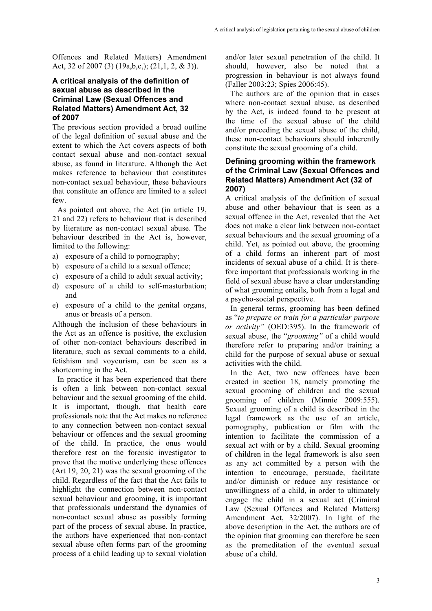Offences and Related Matters) Amendment Act, 32 of 2007 (3) (19a,b,c,); (21,1, 2, & 3)).

### **A critical analysis of the definition of sexual abuse as described in the Criminal Law (Sexual Offences and Related Matters) Amendment Act, 32 of 2007**

The previous section provided a broad outline of the legal definition of sexual abuse and the extent to which the Act covers aspects of both contact sexual abuse and non-contact sexual abuse, as found in literature. Although the Act makes reference to behaviour that constitutes non-contact sexual behaviour, these behaviours that constitute an offence are limited to a select few.

As pointed out above, the Act (in article 19, 21 and 22) refers to behaviour that is described by literature as non-contact sexual abuse. The behaviour described in the Act is, however, limited to the following:

- a) exposure of a child to pornography;
- b) exposure of a child to a sexual offence;
- c) exposure of a child to adult sexual activity;
- d) exposure of a child to self-masturbation; and
- e) exposure of a child to the genital organs, anus or breasts of a person.

Although the inclusion of these behaviours in the Act as an offence is positive, the exclusion of other non-contact behaviours described in literature, such as sexual comments to a child, fetishism and voyeurism, can be seen as a shortcoming in the Act.

In practice it has been experienced that there is often a link between non-contact sexual behaviour and the sexual grooming of the child. It is important, though, that health care professionals note that the Act makes no reference to any connection between non-contact sexual behaviour or offences and the sexual grooming of the child. In practice, the onus would therefore rest on the forensic investigator to prove that the motive underlying these offences (Art 19, 20, 21) was the sexual grooming of the child. Regardless of the fact that the Act fails to highlight the connection between non-contact sexual behaviour and grooming, it is important that professionals understand the dynamics of non-contact sexual abuse as possibly forming part of the process of sexual abuse. In practice, the authors have experienced that non-contact sexual abuse often forms part of the grooming process of a child leading up to sexual violation and/or later sexual penetration of the child. It should, however, also be noted that a progression in behaviour is not always found (Faller 2003:23; Spies 2006:45).

The authors are of the opinion that in cases where non-contact sexual abuse, as described by the Act, is indeed found to be present at the time of the sexual abuse of the child and/or preceding the sexual abuse of the child, these non-contact behaviours should inherently constitute the sexual grooming of a child.

#### **Defining grooming within the framework of the Criminal Law (Sexual Offences and Related Matters) Amendment Act (32 of 2007)**

A critical analysis of the definition of sexual abuse and other behaviour that is seen as a sexual offence in the Act, revealed that the Act does not make a clear link between non-contact sexual behaviours and the sexual grooming of a child. Yet, as pointed out above, the grooming of a child forms an inherent part of most incidents of sexual abuse of a child. It is therefore important that professionals working in the field of sexual abuse have a clear understanding of what grooming entails, both from a legal and a psycho-social perspective.

In general terms, grooming has been defined as "*to prepare or train for a particular purpose or activity"* (OED:395). In the framework of sexual abuse, the "*grooming"* of a child would therefore refer to preparing and/or training a child for the purpose of sexual abuse or sexual activities with the child.

In the Act, two new offences have been created in section 18, namely promoting the sexual grooming of children and the sexual grooming of children (Minnie 2009:555). Sexual grooming of a child is described in the legal framework as the use of an article, pornography, publication or film with the intention to facilitate the commission of a sexual act with or by a child. Sexual grooming of children in the legal framework is also seen as any act committed by a person with the intention to encourage, persuade, facilitate and/or diminish or reduce any resistance or unwillingness of a child, in order to ultimately engage the child in a sexual act (Criminal Law (Sexual Offences and Related Matters) Amendment Act, 32/2007). In light of the above description in the Act, the authors are of the opinion that grooming can therefore be seen as the premeditation of the eventual sexual abuse of a child.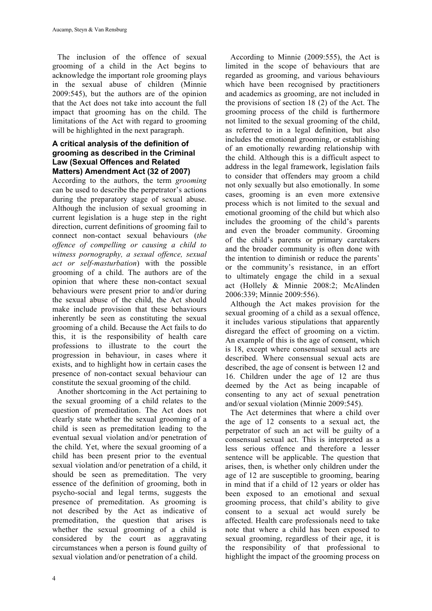The inclusion of the offence of sexual grooming of a child in the Act begins to acknowledge the important role grooming plays in the sexual abuse of children (Minnie 2009:545), but the authors are of the opinion that the Act does not take into account the full impact that grooming has on the child. The limitations of the Act with regard to grooming will be highlighted in the next paragraph.

#### **A critical analysis of the definition of grooming as described in the Criminal Law (Sexual Offences and Related Matters) Amendment Act (32 of 2007)**

According to the authors, the term *grooming* can be used to describe the perpetrator's actions during the preparatory stage of sexual abuse. Although the inclusion of sexual grooming in current legislation is a huge step in the right direction, current definitions of grooming fail to connect non-contact sexual behaviours (*the offence of compelling or causing a child to witness pornography, a sexual offence, sexual act or self-masturbation*) with the possible grooming of a child. The authors are of the opinion that where these non-contact sexual behaviours were present prior to and/or during the sexual abuse of the child, the Act should make include provision that these behaviours inherently be seen as constituting the sexual grooming of a child. Because the Act fails to do this, it is the responsibility of health care professions to illustrate to the court the progression in behaviour, in cases where it exists, and to highlight how in certain cases the presence of non-contact sexual behaviour can constitute the sexual grooming of the child.

Another shortcoming in the Act pertaining to the sexual grooming of a child relates to the question of premeditation. The Act does not clearly state whether the sexual grooming of a child is seen as premeditation leading to the eventual sexual violation and/or penetration of the child. Yet, where the sexual grooming of a child has been present prior to the eventual sexual violation and/or penetration of a child, it should be seen as premeditation. The very essence of the definition of grooming, both in psycho-social and legal terms, suggests the presence of premeditation. As grooming is not described by the Act as indicative of premeditation, the question that arises is whether the sexual grooming of a child is considered by the court as aggravating circumstances when a person is found guilty of sexual violation and/or penetration of a child.

According to Minnie (2009:555), the Act is limited in the scope of behaviours that are regarded as grooming, and various behaviours which have been recognised by practitioners and academics as grooming, are not included in the provisions of section 18 (2) of the Act. The grooming process of the child is furthermore not limited to the sexual grooming of the child, as referred to in a legal definition, but also includes the emotional grooming, or establishing of an emotionally rewarding relationship with the child. Although this is a difficult aspect to address in the legal framework, legislation fails to consider that offenders may groom a child not only sexually but also emotionally. In some cases, grooming is an even more extensive process which is not limited to the sexual and emotional grooming of the child but which also includes the grooming of the child's parents and even the broader community. Grooming of the child's parents or primary caretakers and the broader community is often done with the intention to diminish or reduce the parents' or the community's resistance, in an effort to ultimately engage the child in a sexual act (Hollely & Minnie 2008:2; McAlinden 2006:339; Minnie 2009:556).

Although the Act makes provision for the sexual grooming of a child as a sexual offence, it includes various stipulations that apparently disregard the effect of grooming on a victim. An example of this is the age of consent, which is 18, except where consensual sexual acts are described. Where consensual sexual acts are described, the age of consent is between 12 and 16. Children under the age of 12 are thus deemed by the Act as being incapable of consenting to any act of sexual penetration and/or sexual violation (Minnie 2009:545).

The Act determines that where a child over the age of 12 consents to a sexual act, the perpetrator of such an act will be guilty of a consensual sexual act. This is interpreted as a less serious offence and therefore a lesser sentence will be applicable. The question that arises, then, is whether only children under the age of 12 are susceptible to grooming, bearing in mind that if a child of 12 years or older has been exposed to an emotional and sexual grooming process, that child's ability to give consent to a sexual act would surely be affected. Health care professionals need to take note that where a child has been exposed to sexual grooming, regardless of their age, it is the responsibility of that professional to highlight the impact of the grooming process on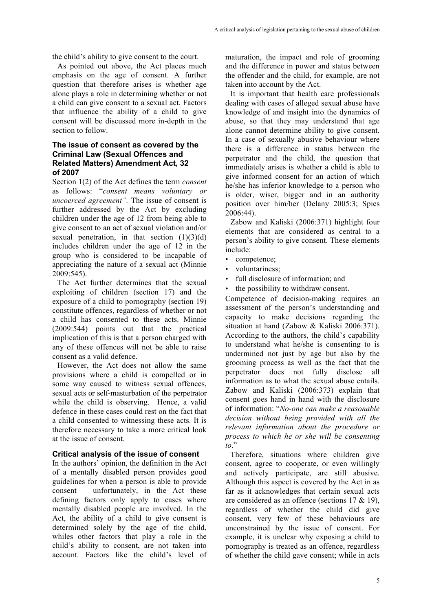the child's ability to give consent to the court.

As pointed out above, the Act places much emphasis on the age of consent. A further question that therefore arises is whether age alone plays a role in determining whether or not a child can give consent to a sexual act. Factors that influence the ability of a child to give consent will be discussed more in-depth in the section to follow.

#### **The issue of consent as covered by the Criminal Law (Sexual Offences and Related Matters) Amendment Act, 32 of 2007**

Section 1(2) of the Act defines the term *consent* as follows: "*consent means voluntary or uncoerced agreement".* The issue of consent is further addressed by the Act by excluding children under the age of 12 from being able to give consent to an act of sexual violation and/or sexual penetration, in that section  $(1)(3)(d)$ includes children under the age of 12 in the group who is considered to be incapable of appreciating the nature of a sexual act (Minnie 2009:545).

The Act further determines that the sexual exploiting of children (section 17) and the exposure of a child to pornography (section 19) constitute offences, regardless of whether or not a child has consented to these acts. Minnie (2009:544) points out that the practical implication of this is that a person charged with any of these offences will not be able to raise consent as a valid defence.

However, the Act does not allow the same provisions where a child is compelled or in some way caused to witness sexual offences, sexual acts or self-masturbation of the perpetrator while the child is observing. Hence, a valid defence in these cases could rest on the fact that a child consented to witnessing these acts. It is therefore necessary to take a more critical look at the issue of consent.

#### **Critical analysis of the issue of consent**

In the authors' opinion, the definition in the Act of a mentally disabled person provides good guidelines for when a person is able to provide consent – unfortunately, in the Act these defining factors only apply to cases where mentally disabled people are involved. In the Act, the ability of a child to give consent is determined solely by the age of the child, whiles other factors that play a role in the child's ability to consent, are not taken into account. Factors like the child's level of

maturation, the impact and role of grooming and the difference in power and status between the offender and the child, for example, are not taken into account by the Act.

It is important that health care professionals dealing with cases of alleged sexual abuse have knowledge of and insight into the dynamics of abuse, so that they may understand that age alone cannot determine ability to give consent. In a case of sexually abusive behaviour where there is a difference in status between the perpetrator and the child, the question that immediately arises is whether a child is able to give informed consent for an action of which he/she has inferior knowledge to a person who is older, wiser, bigger and in an authority position over him/her (Delany 2005:3; Spies 2006:44).

Zabow and Kaliski (2006:371) highlight four elements that are considered as central to a person's ability to give consent. These elements include:

- competence;
- voluntariness;
- full disclosure of information; and
- the possibility to withdraw consent.

Competence of decision-making requires an assessment of the person's understanding and capacity to make decisions regarding the situation at hand (Zabow & Kaliski 2006:371). According to the authors, the child's capability to understand what he/she is consenting to is undermined not just by age but also by the grooming process as well as the fact that the perpetrator does not fully disclose all information as to what the sexual abuse entails. Zabow and Kaliski (2006:373) explain that consent goes hand in hand with the disclosure of information: "*No-one can make a reasonable decision without being provided with all the relevant information about the procedure or process to which he or she will be consenting to*."

Therefore, situations where children give consent, agree to cooperate, or even willingly and actively participate, are still abusive. Although this aspect is covered by the Act in as far as it acknowledges that certain sexual acts are considered as an offence (sections 17 & 19), regardless of whether the child did give consent, very few of these behaviours are unconstrained by the issue of consent. For example, it is unclear why exposing a child to pornography is treated as an offence, regardless of whether the child gave consent; while in acts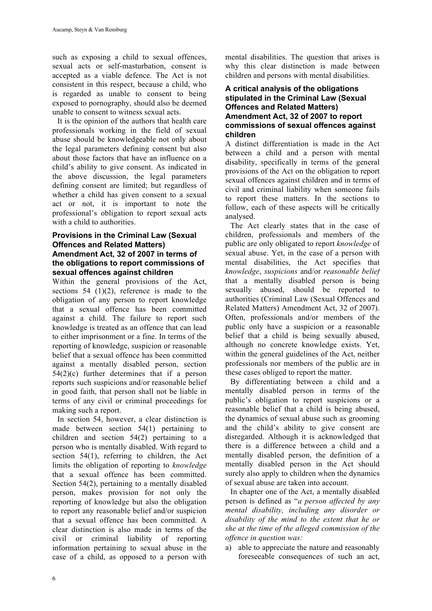such as exposing a child to sexual offences, sexual acts or self-masturbation, consent is accepted as a viable defence. The Act is not consistent in this respect, because a child, who is regarded as unable to consent to being exposed to pornography, should also be deemed unable to consent to witness sexual acts.

It is the opinion of the authors that health care professionals working in the field of sexual abuse should be knowledgeable not only about the legal parameters defining consent but also about those factors that have an influence on a child's ability to give consent. As indicated in the above discussion, the legal parameters defining consent are limited; but regardless of whether a child has given consent to a sexual act or not, it is important to note the professional's obligation to report sexual acts with a child to authorities.

#### **Provisions in the Criminal Law (Sexual Offences and Related Matters) Amendment Act, 32 of 2007 in terms of the obligations to report commissions of sexual offences against children**

Within the general provisions of the Act, sections 54  $(1)(2)$ , reference is made to the obligation of any person to report knowledge that a sexual offence has been committed against a child. The failure to report such knowledge is treated as an offence that can lead to either imprisonment or a fine. In terms of the reporting of knowledge, suspicion or reasonable belief that a sexual offence has been committed against a mentally disabled person, section 54(2)(c) further determines that if a person reports such suspicions and/or reasonable belief in good faith, that person shall not be liable in terms of any civil or criminal proceedings for making such a report.

In section 54, however, a clear distinction is made between section 54(1) pertaining to children and section 54(2) pertaining to a person who is mentally disabled. With regard to section 54(1), referring to children, the Act limits the obligation of reporting to *knowledge*  that a sexual offence has been committed. Section 54(2), pertaining to a mentally disabled person, makes provision for not only the reporting of knowledge but also the obligation to report any reasonable belief and/or suspicion that a sexual offence has been committed. A clear distinction is also made in terms of the civil or criminal liability of reporting information pertaining to sexual abuse in the case of a child, as opposed to a person with

mental disabilities. The question that arises is why this clear distinction is made between children and persons with mental disabilities.

#### **A critical analysis of the obligations stipulated in the Criminal Law (Sexual Offences and Related Matters) Amendment Act, 32 of 2007 to report commissions of sexual offences against children**

A distinct differentiation is made in the Act between a child and a person with mental disability, specifically in terms of the general provisions of the Act on the obligation to report sexual offences against children and in terms of civil and criminal liability when someone fails to report these matters. In the sections to follow, each of these aspects will be critically analysed.

The Act clearly states that in the case of children, professionals and members of the public are only obligated to report *knowledge* of sexual abuse. Yet, in the case of a person with mental disabilities, the Act specifies that *knowledge*, *suspicions* and/or *reasonable belief* that a mentally disabled person is being sexually abused, should be reported to authorities (Criminal Law (Sexual Offences and Related Matters) Amendment Act, 32 of 2007). Often, professionals and/or members of the public only have a suspicion or a reasonable belief that a child is being sexually abused, although no concrete knowledge exists. Yet, within the general guidelines of the Act, neither professionals nor members of the public are in these cases obliged to report the matter.

By differentiating between a child and a mentally disabled person in terms of the public's obligation to report suspicions or a reasonable belief that a child is being abused, the dynamics of sexual abuse such as grooming and the child's ability to give consent are disregarded. Although it is acknowledged that there is a difference between a child and a mentally disabled person, the definition of a mentally disabled person in the Act should surely also apply to children when the dynamics of sexual abuse are taken into account.

In chapter one of the Act, a mentally disabled person is defined as "*a person affected by any mental disability, including any disorder or disability of the mind to the extent that he or she at the time of the alleged commission of the offence in question was:*

a) able to appreciate the nature and reasonably foreseeable consequences of such an act,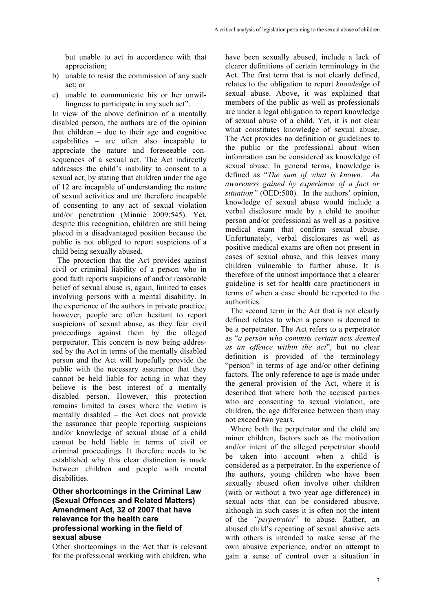but unable to act in accordance with that appreciation;

- b) unable to resist the commission of any such act; or
- c) unable to communicate his or her unwillingness to participate in any such act".

In view of the above definition of a mentally disabled person, the authors are of the opinion that children  $-$  due to their age and cognitive capabilities – are often also incapable to appreciate the nature and foreseeable consequences of a sexual act. The Act indirectly addresses the child's inability to consent to a sexual act, by stating that children under the age of 12 are incapable of understanding the nature of sexual activities and are therefore incapable of consenting to any act of sexual violation and/or penetration (Minnie 2009:545). Yet, despite this recognition, children are still being placed in a disadvantaged position because the public is not obliged to report suspicions of a child being sexually abused.

The protection that the Act provides against civil or criminal liability of a person who in good faith reports suspicions of and/or reasonable belief of sexual abuse is, again, limited to cases involving persons with a mental disability. In the experience of the authors in private practice, however, people are often hesitant to report suspicions of sexual abuse, as they fear civil proceedings against them by the alleged perpetrator. This concern is now being addressed by the Act in terms of the mentally disabled person and the Act will hopefully provide the public with the necessary assurance that they cannot be held liable for acting in what they believe is the best interest of a mentally disabled person. However, this protection remains limited to cases where the victim is mentally disabled – the Act does not provide the assurance that people reporting suspicions and/or knowledge of sexual abuse of a child cannot be held liable in terms of civil or criminal proceedings. It therefore needs to be established why this clear distinction is made between children and people with mental disabilities.

### **Other shortcomings in the Criminal Law (Sexual Offences and Related Matters) Amendment Act, 32 of 2007 that have relevance for the health care professional working in the field of sexual abuse**

Other shortcomings in the Act that is relevant for the professional working with children, who

have been sexually abused, include a lack of clearer definitions of certain terminology in the Act. The first term that is not clearly defined, relates to the obligation to report *knowledge* of sexual abuse. Above, it was explained that members of the public as well as professionals are under a legal obligation to report knowledge of sexual abuse of a child. Yet, it is not clear what constitutes knowledge of sexual abuse. The Act provides no definition or guidelines to the public or the professional about when information can be considered as knowledge of sexual abuse. In general terms, knowledge is defined as "*The sum of what is known. An awareness gained by experience of a fact or situation"* (OED:500). In the authors' opinion, knowledge of sexual abuse would include a verbal disclosure made by a child to another person and/or professional as well as a positive medical exam that confirm sexual abuse. Unfortunately, verbal disclosures as well as positive medical exams are often not present in cases of sexual abuse, and this leaves many children vulnerable to further abuse. It is therefore of the utmost importance that a clearer guideline is set for health care practitioners in terms of when a case should be reported to the authorities.

The second term in the Act that is not clearly defined relates to when a person is deemed to be a perpetrator. The Act refers to a perpetrator as "*a person who commits certain acts deemed as an offence within the act*", but no clear definition is provided of the terminology "person" in terms of age and/or other defining factors. The only reference to age is made under the general provision of the Act, where it is described that where both the accused parties who are consenting to sexual violation, are children, the age difference between them may not exceed two years.

Where both the perpetrator and the child are minor children, factors such as the motivation and/or intent of the alleged perpetrator should be taken into account when a child is considered as a perpetrator. In the experience of the authors, young children who have been sexually abused often involve other children (with or without a two year age difference) in sexual acts that can be considered abusive, although in such cases it is often not the intent of the *"perpetrator*" to abuse. Rather, an abused child's repeating of sexual abusive acts with others is intended to make sense of the own abusive experience, and/or an attempt to gain a sense of control over a situation in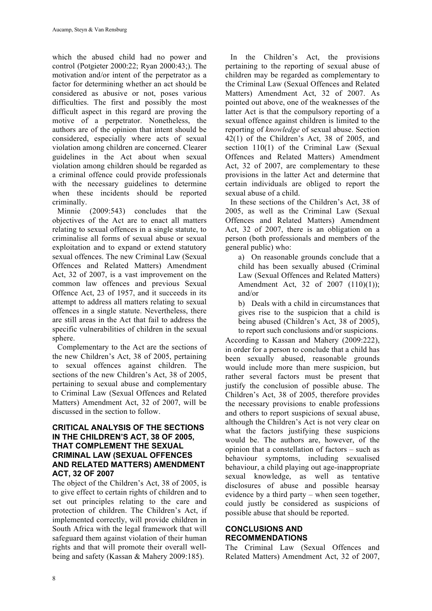which the abused child had no power and control (Potgieter 2000:22; Ryan 2000:43;). The motivation and/or intent of the perpetrator as a factor for determining whether an act should be considered as abusive or not, poses various difficulties. The first and possibly the most difficult aspect in this regard are proving the motive of a perpetrator. Nonetheless, the authors are of the opinion that intent should be considered, especially where acts of sexual violation among children are concerned. Clearer guidelines in the Act about when sexual violation among children should be regarded as a criminal offence could provide professionals with the necessary guidelines to determine when these incidents should be reported criminally.

Minnie (2009:543) concludes that the objectives of the Act are to enact all matters relating to sexual offences in a single statute, to criminalise all forms of sexual abuse or sexual exploitation and to expand or extend statutory sexual offences. The new Criminal Law (Sexual Offences and Related Matters) Amendment Act, 32 of 2007, is a vast improvement on the common law offences and previous Sexual Offence Act, 23 of 1957, and it succeeds in its attempt to address all matters relating to sexual offences in a single statute. Nevertheless, there are still areas in the Act that fail to address the specific vulnerabilities of children in the sexual sphere.

Complementary to the Act are the sections of the new Children's Act, 38 of 2005, pertaining to sexual offences against children. The sections of the new Children's Act, 38 of 2005, pertaining to sexual abuse and complementary to Criminal Law (Sexual Offences and Related Matters) Amendment Act, 32 of 2007, will be discussed in the section to follow.

#### **CRITICAL ANALYSIS OF THE SECTIONS IN THE CHILDREN'S ACT, 38 OF 2005, THAT COMPLEMENT THE SEXUAL CRIMINAL LAW (SEXUAL OFFENCES AND RELATED MATTERS) AMENDMENT ACT, 32 OF 2007**

The object of the Children's Act, 38 of 2005, is to give effect to certain rights of children and to set out principles relating to the care and protection of children. The Children's Act, if implemented correctly, will provide children in South Africa with the legal framework that will safeguard them against violation of their human rights and that will promote their overall wellbeing and safety (Kassan & Mahery 2009:185).

In the Children's Act, the provisions pertaining to the reporting of sexual abuse of children may be regarded as complementary to the Criminal Law (Sexual Offences and Related Matters) Amendment Act, 32 of 2007. As pointed out above, one of the weaknesses of the latter Act is that the compulsory reporting of a sexual offence against children is limited to the reporting of *knowledge* of sexual abuse. Section 42(1) of the Children's Act, 38 of 2005, and section 110(1) of the Criminal Law (Sexual Offences and Related Matters) Amendment Act, 32 of 2007, are complementary to these provisions in the latter Act and determine that certain individuals are obliged to report the sexual abuse of a child.

In these sections of the Children's Act, 38 of 2005, as well as the Criminal Law (Sexual Offences and Related Matters) Amendment Act, 32 of 2007, there is an obligation on a person (both professionals and members of the general public) who:

a) On reasonable grounds conclude that a child has been sexually abused (Criminal Law (Sexual Offences and Related Matters) Amendment Act, 32 of 2007 (110)(1)); and/or

b) Deals with a child in circumstances that gives rise to the suspicion that a child is being abused (Children's Act, 38 of 2005), to report such conclusions and/or suspicions.

According to Kassan and Mahery (2009:222), in order for a person to conclude that a child has been sexually abused, reasonable grounds would include more than mere suspicion, but rather several factors must be present that justify the conclusion of possible abuse. The Children's Act, 38 of 2005, therefore provides the necessary provisions to enable professions and others to report suspicions of sexual abuse, although the Children's Act is not very clear on what the factors justifying these suspicions would be. The authors are, however, of the opinion that a constellation of factors – such as behaviour symptoms, including sexualised behaviour, a child playing out age-inappropriate sexual knowledge, as well as tentative disclosures of abuse and possible hearsay evidence by a third party – when seen together, could justly be considered as suspicions of possible abuse that should be reported.

## **CONCLUSIONS AND RECOMMENDATIONS**

The Criminal Law (Sexual Offences and Related Matters) Amendment Act, 32 of 2007,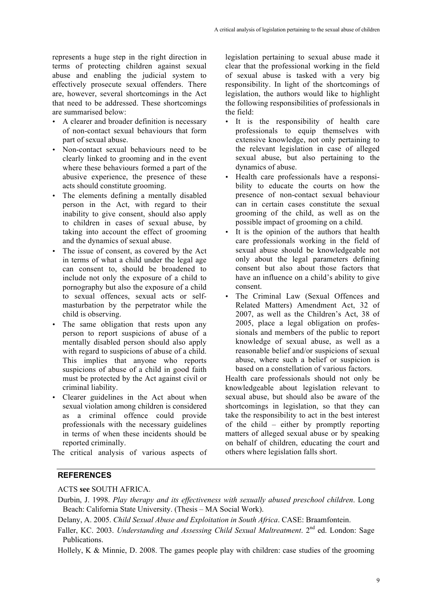represents a huge step in the right direction in terms of protecting children against sexual abuse and enabling the judicial system to effectively prosecute sexual offenders. There are, however, several shortcomings in the Act that need to be addressed. These shortcomings are summarised below:

- A clearer and broader definition is necessary of non-contact sexual behaviours that form part of sexual abuse.
- Non-contact sexual behaviours need to be clearly linked to grooming and in the event where these behaviours formed a part of the abusive experience, the presence of these acts should constitute grooming.
- The elements defining a mentally disabled person in the Act, with regard to their inability to give consent, should also apply to children in cases of sexual abuse, by taking into account the effect of grooming and the dynamics of sexual abuse.
- The issue of consent, as covered by the Act in terms of what a child under the legal age can consent to, should be broadened to include not only the exposure of a child to pornography but also the exposure of a child to sexual offences, sexual acts or selfmasturbation by the perpetrator while the child is observing.
- The same obligation that rests upon any person to report suspicions of abuse of a mentally disabled person should also apply with regard to suspicions of abuse of a child. This implies that anyone who reports suspicions of abuse of a child in good faith must be protected by the Act against civil or criminal liability.
- Clearer guidelines in the Act about when sexual violation among children is considered as a criminal offence could provide professionals with the necessary guidelines in terms of when these incidents should be reported criminally.

The critical analysis of various aspects of

legislation pertaining to sexual abuse made it clear that the professional working in the field of sexual abuse is tasked with a very big responsibility. In light of the shortcomings of legislation, the authors would like to highlight the following responsibilities of professionals in the field:

- It is the responsibility of health care professionals to equip themselves with extensive knowledge, not only pertaining to the relevant legislation in case of alleged sexual abuse, but also pertaining to the dynamics of abuse.
- Health care professionals have a responsibility to educate the courts on how the presence of non-contact sexual behaviour can in certain cases constitute the sexual grooming of the child, as well as on the possible impact of grooming on a child.
- It is the opinion of the authors that health care professionals working in the field of sexual abuse should be knowledgeable not only about the legal parameters defining consent but also about those factors that have an influence on a child's ability to give consent.
- The Criminal Law (Sexual Offences and Related Matters) Amendment Act, 32 of 2007, as well as the Children's Act, 38 of 2005, place a legal obligation on professionals and members of the public to report knowledge of sexual abuse, as well as a reasonable belief and/or suspicions of sexual abuse, where such a belief or suspicion is based on a constellation of various factors.

Health care professionals should not only be knowledgeable about legislation relevant to sexual abuse, but should also be aware of the shortcomings in legislation, so that they can take the responsibility to act in the best interest of the child – either by promptly reporting matters of alleged sexual abuse or by speaking on behalf of children, educating the court and others where legislation falls short.

## **REFERENCES**

ACTS **see** SOUTH AFRICA.

- Durbin, J. 1998. *Play therapy and its effectiveness with sexually abused preschool children*. Long Beach: California State University. (Thesis – MA Social Work).
- Delany, A. 2005. *Child Sexual Abuse and Exploitation in South Africa*. CASE: Braamfontein.
- Faller, KC. 2003. *Understanding and Assessing Child Sexual Maltreatment*. 2<sup>nd</sup> ed. London: Sage Publications.

Hollely, K & Minnie, D. 2008. The games people play with children: case studies of the grooming